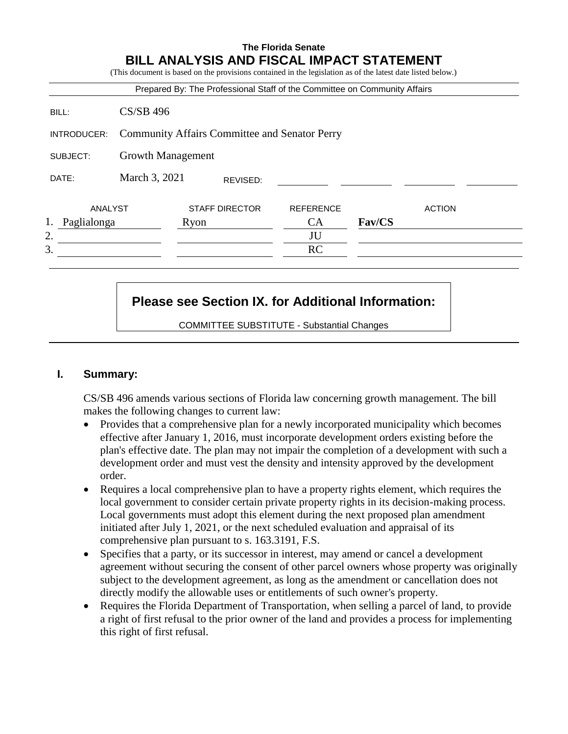# **The Florida Senate BILL ANALYSIS AND FISCAL IMPACT STATEMENT** (This document is based on the provisions contained in the legislation as of the latest date listed below.) Prepared By: The Professional Staff of the Committee on Community Affairs BILL: CS/SB 496 INTRODUCER: Community Affairs Committee and Senator Perry SUBJECT: Growth Management DATE: March 3, 2021 ANALYST STAFF DIRECTOR REFERENCE ACTION 1. Paglialonga Ryon CA **Fav/CS**  $2.$  JU  $3.$  RC REVISED:

# **Please see Section IX. for Additional Information:**

COMMITTEE SUBSTITUTE - Substantial Changes

## **I. Summary:**

CS/SB 496 amends various sections of Florida law concerning growth management. The bill makes the following changes to current law:

- Provides that a comprehensive plan for a newly incorporated municipality which becomes effective after January 1, 2016, must incorporate development orders existing before the plan's effective date. The plan may not impair the completion of a development with such a development order and must vest the density and intensity approved by the development order.
- Requires a local comprehensive plan to have a property rights element, which requires the local government to consider certain private property rights in its decision-making process. Local governments must adopt this element during the next proposed plan amendment initiated after July 1, 2021, or the next scheduled evaluation and appraisal of its comprehensive plan pursuant to s. 163.3191, F.S.
- Specifies that a party, or its successor in interest, may amend or cancel a development agreement without securing the consent of other parcel owners whose property was originally subject to the development agreement, as long as the amendment or cancellation does not directly modify the allowable uses or entitlements of such owner's property.
- Requires the Florida Department of Transportation, when selling a parcel of land, to provide a right of first refusal to the prior owner of the land and provides a process for implementing this right of first refusal.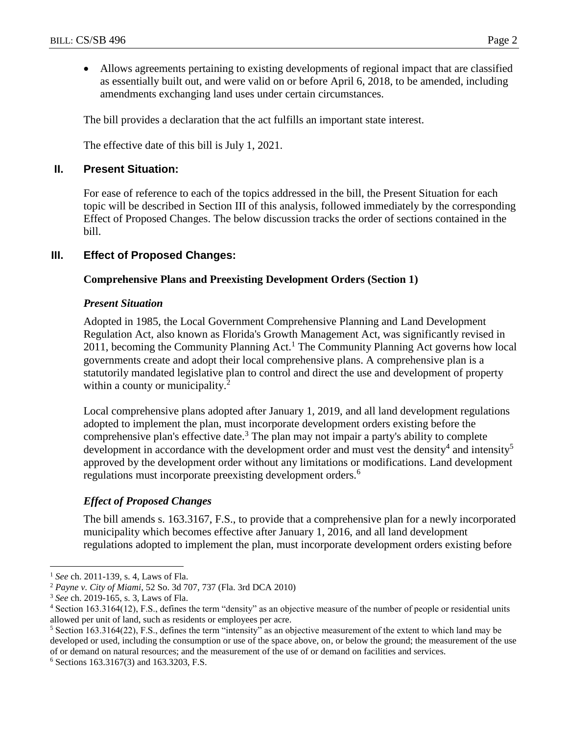Allows agreements pertaining to existing developments of regional impact that are classified as essentially built out, and were valid on or before April 6, 2018, to be amended, including amendments exchanging land uses under certain circumstances.

The bill provides a declaration that the act fulfills an important state interest.

The effective date of this bill is July 1, 2021.

### **II. Present Situation:**

For ease of reference to each of the topics addressed in the bill, the Present Situation for each topic will be described in Section III of this analysis, followed immediately by the corresponding Effect of Proposed Changes. The below discussion tracks the order of sections contained in the bill.

## **III. Effect of Proposed Changes:**

### **Comprehensive Plans and Preexisting Development Orders (Section 1)**

### *Present Situation*

Adopted in 1985, the Local Government Comprehensive Planning and Land Development Regulation Act, also known as Florida's Growth Management Act, was significantly revised in 2011, becoming the Community Planning Act.<sup>1</sup> The Community Planning Act governs how local governments create and adopt their local comprehensive plans. A comprehensive plan is a statutorily mandated legislative plan to control and direct the use and development of property within a county or municipality.<sup>2</sup>

Local comprehensive plans adopted after January 1, 2019, and all land development regulations adopted to implement the plan, must incorporate development orders existing before the comprehensive plan's effective date.<sup>3</sup> The plan may not impair a party's ability to complete development in accordance with the development order and must vest the density<sup>4</sup> and intensity<sup>5</sup> approved by the development order without any limitations or modifications. Land development regulations must incorporate preexisting development orders.<sup>6</sup>

## *Effect of Proposed Changes*

The bill amends s. 163.3167, F.S., to provide that a comprehensive plan for a newly incorporated municipality which becomes effective after January 1, 2016, and all land development regulations adopted to implement the plan, must incorporate development orders existing before

<sup>1</sup> *See* ch. 2011-139, s. 4*,* Laws of Fla.

<sup>2</sup> *Payne v. City of Miami*, 52 So. 3d 707, 737 (Fla. 3rd DCA 2010)

<sup>3</sup> *See* ch. 2019-165, s. 3, Laws of Fla.

<sup>4</sup> Section 163.3164(12), F.S., defines the term "density" as an objective measure of the number of people or residential units allowed per unit of land, such as residents or employees per acre.

<sup>5</sup> Section 163.3164(22), F.S., defines the term "intensity" as an objective measurement of the extent to which land may be developed or used, including the consumption or use of the space above, on, or below the ground; the measurement of the use of or demand on natural resources; and the measurement of the use of or demand on facilities and services.

<sup>6</sup> Sections 163.3167(3) and 163.3203, F.S.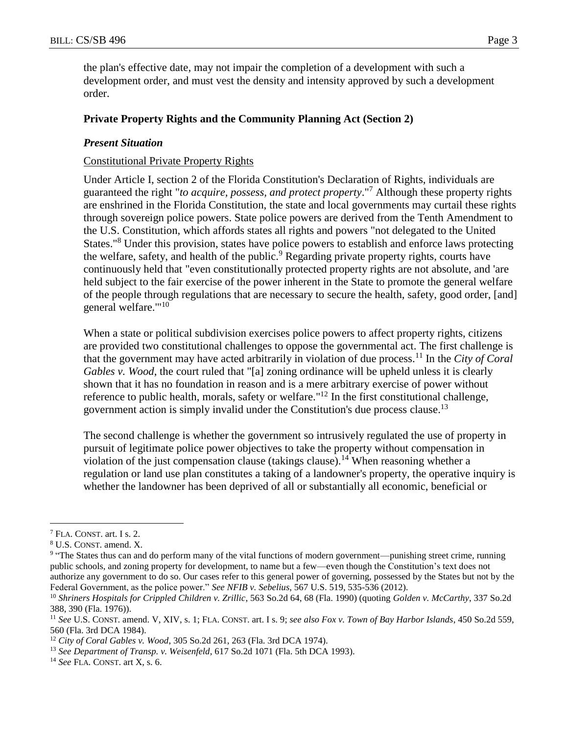the plan's effective date, may not impair the completion of a development with such a development order, and must vest the density and intensity approved by such a development order.

### **Private Property Rights and the Community Planning Act (Section 2)**

### *Present Situation*

### Constitutional Private Property Rights

Under Article I, section 2 of the Florida Constitution's Declaration of Rights, individuals are guaranteed the right "*to acquire, possess, and protect property*." <sup>7</sup> Although these property rights are enshrined in the Florida Constitution, the state and local governments may curtail these rights through sovereign police powers. State police powers are derived from the Tenth Amendment to the U.S. Constitution, which affords states all rights and powers "not delegated to the United States."<sup>8</sup> Under this provision, states have police powers to establish and enforce laws protecting the welfare, safety, and health of the public.<sup>9</sup> Regarding private property rights, courts have continuously held that "even constitutionally protected property rights are not absolute, and 'are held subject to the fair exercise of the power inherent in the State to promote the general welfare of the people through regulations that are necessary to secure the health, safety, good order, [and] general welfare."'<sup>10</sup>

When a state or political subdivision exercises police powers to affect property rights, citizens are provided two constitutional challenges to oppose the governmental act. The first challenge is that the government may have acted arbitrarily in violation of due process.<sup>11</sup> In the *City of Coral Gables v. Wood*, the court ruled that "[a] zoning ordinance will be upheld unless it is clearly shown that it has no foundation in reason and is a mere arbitrary exercise of power without reference to public health, morals, safety or welfare."<sup>12</sup> In the first constitutional challenge, government action is simply invalid under the Constitution's due process clause.<sup>13</sup>

The second challenge is whether the government so intrusively regulated the use of property in pursuit of legitimate police power objectives to take the property without compensation in violation of the just compensation clause (takings clause).<sup>14</sup> When reasoning whether a regulation or land use plan constitutes a taking of a landowner's property, the operative inquiry is whether the landowner has been deprived of all or substantially all economic, beneficial or

<sup>7</sup> FLA. CONST. art. I s. 2.

<sup>8</sup> U.S. CONST. amend. X.

<sup>&</sup>lt;sup>9</sup> "The States thus can and do perform many of the vital functions of modern government—punishing street crime, running public schools, and zoning property for development, to name but a few—even though the Constitution's text does not authorize any government to do so. Our cases refer to this general power of governing, possessed by the States but not by the Federal Government, as the police power." *See NFIB v. Sebelius*, 567 U.S. 519, 535-536 (2012).

<sup>10</sup> *Shriners Hospitals for Crippled Children v. Zrillic*, 563 So.2d 64, 68 (Fla. 1990) (quoting *Golden v. McCarthy*, 337 So.2d 388, 390 (Fla. 1976)).

<sup>11</sup> *See* U.S. CONST. amend. V, XIV, s. 1; FLA. CONST. art. I s. 9; *see also Fox v. Town of Bay Harbor Islands*, 450 So.2d 559, 560 (Fla. 3rd DCA 1984).

<sup>12</sup> *City of Coral Gables v. Wood*, 305 So.2d 261, 263 (Fla. 3rd DCA 1974).

<sup>13</sup> *See Department of Transp. v. Weisenfeld*, 617 So.2d 1071 (Fla. 5th DCA 1993).

<sup>14</sup> *See* FLA. CONST. art X, s. 6.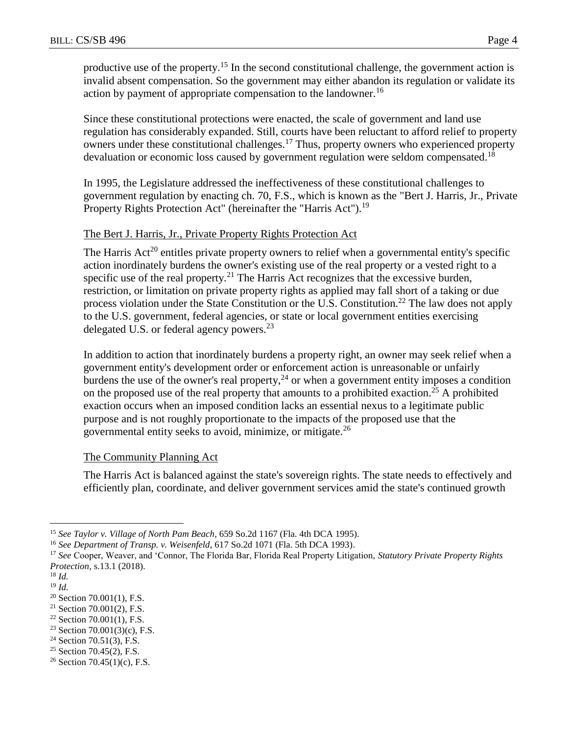productive use of the property.<sup>15</sup> In the second constitutional challenge, the government action is invalid absent compensation. So the government may either abandon its regulation or validate its action by payment of appropriate compensation to the landowner.<sup>16</sup>

Since these constitutional protections were enacted, the scale of government and land use regulation has considerably expanded. Still, courts have been reluctant to afford relief to property owners under these constitutional challenges.<sup>17</sup> Thus, property owners who experienced property devaluation or economic loss caused by government regulation were seldom compensated.<sup>18</sup>

In 1995, the Legislature addressed the ineffectiveness of these constitutional challenges to government regulation by enacting ch. 70, F.S., which is known as the "Bert J. Harris, Jr., Private Property Rights Protection Act" (hereinafter the "Harris Act").<sup>19</sup>

## The Bert J. Harris, Jr., Private Property Rights Protection Act

The Harris  $Act^{20}$  entitles private property owners to relief when a governmental entity's specific action inordinately burdens the owner's existing use of the real property or a vested right to a specific use of the real property.<sup>21</sup> The Harris Act recognizes that the excessive burden, restriction, or limitation on private property rights as applied may fall short of a taking or due process violation under the State Constitution or the U.S. Constitution.<sup>22</sup> The law does not apply to the U.S. government, federal agencies, or state or local government entities exercising delegated U.S. or federal agency powers. $^{23}$ 

In addition to action that inordinately burdens a property right, an owner may seek relief when a government entity's development order or enforcement action is unreasonable or unfairly burdens the use of the owner's real property,  $2<sup>4</sup>$  or when a government entity imposes a condition on the proposed use of the real property that amounts to a prohibited exaction.<sup>25</sup> A prohibited exaction occurs when an imposed condition lacks an essential nexus to a legitimate public purpose and is not roughly proportionate to the impacts of the proposed use that the governmental entity seeks to avoid, minimize, or mitigate.<sup>26</sup>

### The Community Planning Act

The Harris Act is balanced against the state's sovereign rights. The state needs to effectively and efficiently plan, coordinate, and deliver government services amid the state's continued growth

 $\overline{a}$ 

<sup>25</sup> Section 70.45(2), F.S.

<sup>15</sup> *See Taylor v. Village of North Pam Beach*, 659 So.2d 1167 (Fla. 4th DCA 1995).

<sup>16</sup> *See Department of Transp. v. Weisenfeld*, 617 So.2d 1071 (Fla. 5th DCA 1993).

<sup>17</sup> *See* Cooper, Weaver, and 'Connor, The Florida Bar, Florida Real Property Litigation, *Statutory Private Property Rights Protection*, s.13.1 (2018).

<sup>18</sup> *Id.*

<sup>19</sup> *Id.*

<sup>20</sup> Section 70.001(1), F.S.

 $21$  Section 70.001(2), F.S.

 $22$  Section 70.001(1), F.S.

<sup>&</sup>lt;sup>23</sup> Section 70.001(3)(c), F.S.

 $24$  Section 70.51(3), F.S.

<sup>&</sup>lt;sup>26</sup> Section 70.45(1)(c), F.S.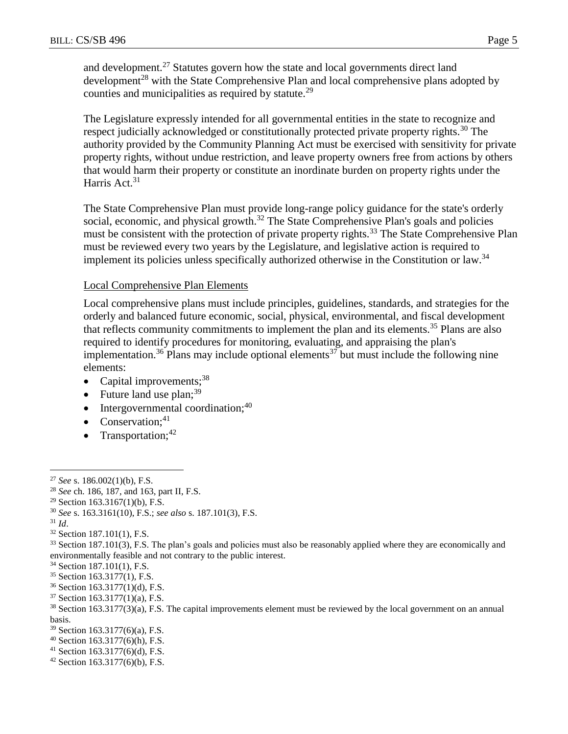and development.<sup>27</sup> Statutes govern how the state and local governments direct land development<sup>28</sup> with the State Comprehensive Plan and local comprehensive plans adopted by counties and municipalities as required by statute.<sup>29</sup>

The Legislature expressly intended for all governmental entities in the state to recognize and respect judicially acknowledged or constitutionally protected private property rights.<sup>30</sup> The authority provided by the Community Planning Act must be exercised with sensitivity for private property rights, without undue restriction, and leave property owners free from actions by others that would harm their property or constitute an inordinate burden on property rights under the Harris Act.<sup>31</sup>

The State Comprehensive Plan must provide long-range policy guidance for the state's orderly social, economic, and physical growth.<sup>32</sup> The State Comprehensive Plan's goals and policies must be consistent with the protection of private property rights.<sup>33</sup> The State Comprehensive Plan must be reviewed every two years by the Legislature, and legislative action is required to implement its policies unless specifically authorized otherwise in the Constitution or law.<sup>34</sup>

### Local Comprehensive Plan Elements

Local comprehensive plans must include principles, guidelines, standards, and strategies for the orderly and balanced future economic, social, physical, environmental, and fiscal development that reflects community commitments to implement the plan and its elements.<sup>35</sup> Plans are also required to identify procedures for monitoring, evaluating, and appraising the plan's implementation.<sup>36</sup> Plans may include optional elements<sup>37</sup> but must include the following nine elements:

- Capital improvements; $38$
- Future land use  $plan;^{39}$
- $\bullet$  Intergovernmental coordination;<sup>40</sup>
- Conservation; $41$
- Transportation; $42$

<sup>31</sup> *Id*.

 $\overline{a}$ 

<sup>32</sup> Section 187.101(1), F.S.

- <sup>34</sup> Section 187.101(1), F.S.
- <sup>35</sup> Section 163.3177(1), F.S.
- <sup>36</sup> Section 163.3177(1)(d), F.S.
- <sup>37</sup> Section 163.3177(1)(a), F.S.

- <sup>39</sup> Section 163.3177(6)(a), F.S.
- $40$  Section 163.3177(6)(h), F.S.
- <sup>41</sup> Section 163.3177(6)(d), F.S.
- $42$  Section 163.3177(6)(b), F.S.

<sup>27</sup> *See* s. 186.002(1)(b), F.S.

<sup>28</sup> *See* ch. 186, 187, and 163, part II, F.S.

<sup>&</sup>lt;sup>29</sup> Section 163.3167(1)(b), F.S.

<sup>30</sup> *See* s. 163.3161(10), F.S.; *see also* s. 187.101(3), F.S.

<sup>&</sup>lt;sup>33</sup> Section 187.101(3), F.S. The plan's goals and policies must also be reasonably applied where they are economically and environmentally feasible and not contrary to the public interest.

<sup>38</sup> Section 163.3177(3)(a), F.S. The capital improvements element must be reviewed by the local government on an annual basis.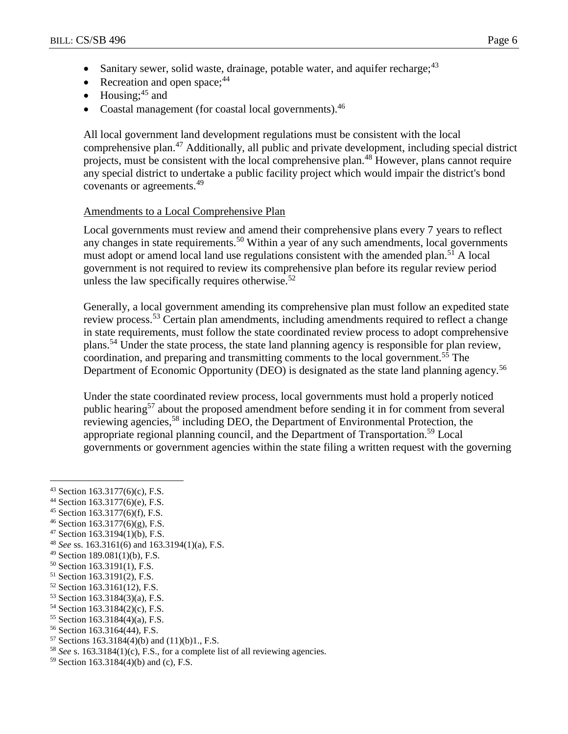- Sanitary sewer, solid waste, drainage, potable water, and aquifer recharge: <sup>43</sup>
- Recreation and open space: $44$
- $\bullet$  Housing;<sup>45</sup> and
- Coastal management (for coastal local governments).<sup>46</sup>

All local government land development regulations must be consistent with the local comprehensive plan.<sup>47</sup> Additionally, all public and private development, including special district projects, must be consistent with the local comprehensive plan.<sup>48</sup> However, plans cannot require any special district to undertake a public facility project which would impair the district's bond covenants or agreements.<sup>49</sup>

### Amendments to a Local Comprehensive Plan

Local governments must review and amend their comprehensive plans every 7 years to reflect any changes in state requirements.<sup>50</sup> Within a year of any such amendments, local governments must adopt or amend local land use regulations consistent with the amended plan.<sup>51</sup> A local government is not required to review its comprehensive plan before its regular review period unless the law specifically requires otherwise. $52$ 

Generally, a local government amending its comprehensive plan must follow an expedited state review process.<sup>53</sup> Certain plan amendments, including amendments required to reflect a change in state requirements, must follow the state coordinated review process to adopt comprehensive plans.<sup>54</sup> Under the state process, the state land planning agency is responsible for plan review, coordination, and preparing and transmitting comments to the local government.<sup>55</sup> The Department of Economic Opportunity (DEO) is designated as the state land planning agency.<sup>56</sup>

Under the state coordinated review process, local governments must hold a properly noticed public hearing<sup>57</sup> about the proposed amendment before sending it in for comment from several reviewing agencies,<sup>58</sup> including DEO, the Department of Environmental Protection, the appropriate regional planning council, and the Department of Transportation.<sup>59</sup> Local governments or government agencies within the state filing a written request with the governing

- <sup>44</sup> Section 163.3177(6)(e), F.S.
- <sup>45</sup> Section 163.3177(6)(f), F.S.
- $46$  Section 163.3177(6)(g), F.S.
- <sup>47</sup> Section 163.3194(1)(b), F.S.
- <sup>48</sup> *See* ss. 163.3161(6) and 163.3194(1)(a), F.S.
- <sup>49</sup> Section 189.081(1)(b), F.S.
- <sup>50</sup> Section 163.3191(1), F.S.
- <sup>51</sup> Section 163.3191(2), F.S.
- <sup>52</sup> Section 163.3161(12), F.S.
- <sup>53</sup> Section 163.3184(3)(a), F.S.
- <sup>54</sup> Section 163.3184(2)(c), F.S.
- <sup>55</sup> Section 163.3184(4)(a), F.S.
- <sup>56</sup> Section 163.3164(44), F.S.
- $57$  Sections 163.3184(4)(b) and (11)(b)1, F.S.
- <sup>58</sup> *See* s. 163.3184(1)(c), F.S., for a complete list of all reviewing agencies.
- <sup>59</sup> Section 163.3184(4)(b) and (c), F.S.

<sup>43</sup> Section 163.3177(6)(c), F.S.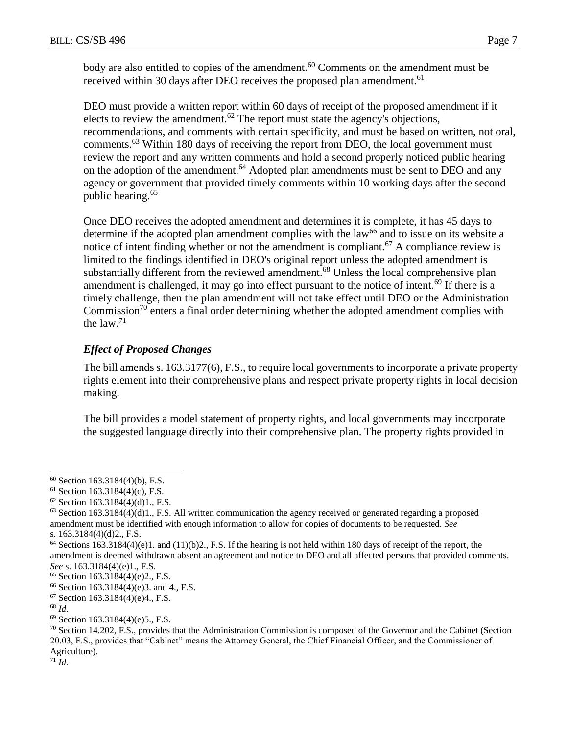body are also entitled to copies of the amendment.<sup>60</sup> Comments on the amendment must be received within 30 days after DEO receives the proposed plan amendment.<sup>61</sup>

DEO must provide a written report within 60 days of receipt of the proposed amendment if it elects to review the amendment.<sup>62</sup> The report must state the agency's objections, recommendations, and comments with certain specificity, and must be based on written, not oral, comments.<sup>63</sup> Within 180 days of receiving the report from DEO, the local government must review the report and any written comments and hold a second properly noticed public hearing on the adoption of the amendment.<sup>64</sup> Adopted plan amendments must be sent to DEO and any agency or government that provided timely comments within 10 working days after the second public hearing.<sup>65</sup>

Once DEO receives the adopted amendment and determines it is complete, it has 45 days to determine if the adopted plan amendment complies with the  $law<sup>66</sup>$  and to issue on its website a notice of intent finding whether or not the amendment is compliant.<sup>67</sup> A compliance review is limited to the findings identified in DEO's original report unless the adopted amendment is substantially different from the reviewed amendment.<sup>68</sup> Unless the local comprehensive plan amendment is challenged, it may go into effect pursuant to the notice of intent.<sup>69</sup> If there is a timely challenge, then the plan amendment will not take effect until DEO or the Administration Commission<sup>70</sup> enters a final order determining whether the adopted amendment complies with the law. $71$ 

# *Effect of Proposed Changes*

The bill amends s. 163.3177(6), F.S., to require local governments to incorporate a private property rights element into their comprehensive plans and respect private property rights in local decision making.

The bill provides a model statement of property rights, and local governments may incorporate the suggested language directly into their comprehensive plan. The property rights provided in

 $\overline{a}$ 

<sup>71</sup> *Id*.

 $60$  Section 163.3184(4)(b), F.S.

 $61$  Section 163.3184(4)(c), F.S.

 $62$  Section 163.3184(4)(d)1., F.S.

 $63$  Section 163.3184(4)(d)1., F.S. All written communication the agency received or generated regarding a proposed amendment must be identified with enough information to allow for copies of documents to be requested. *See* s. 163.3184(4)(d)2., F.S.

 $64$  Sections 163.3184(4)(e)1. and (11)(b)2., F.S. If the hearing is not held within 180 days of receipt of the report, the amendment is deemed withdrawn absent an agreement and notice to DEO and all affected persons that provided comments. *See* s. 163.3184(4)(e)1., F.S.

<sup>65</sup> Section 163.3184(4)(e)2., F.S.

<sup>66</sup> Section 163.3184(4)(e)3. and 4., F.S.

<sup>67</sup> Section 163.3184(4)(e)4., F.S.

<sup>68</sup> *Id*.

<sup>69</sup> Section 163.3184(4)(e)5., F.S.

 $70$  Section 14.202, F.S., provides that the Administration Commission is composed of the Governor and the Cabinet (Section 20.03, F.S., provides that "Cabinet" means the Attorney General, the Chief Financial Officer, and the Commissioner of Agriculture).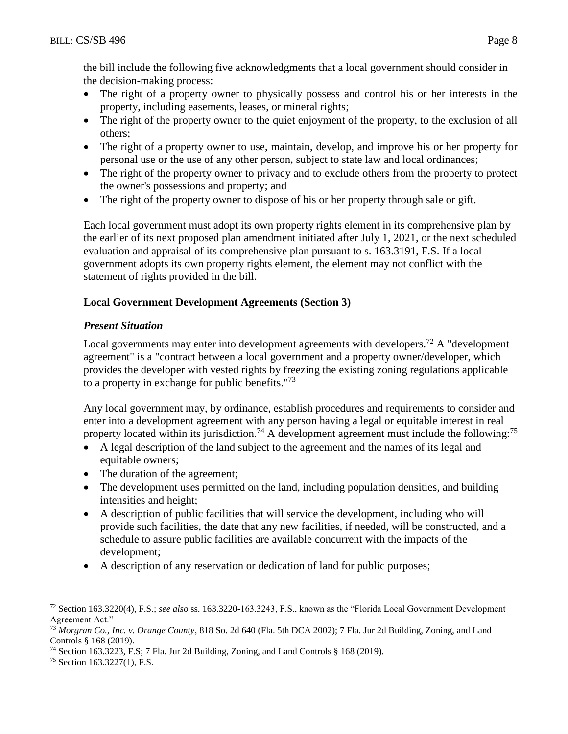the bill include the following five acknowledgments that a local government should consider in the decision-making process:

- The right of a property owner to physically possess and control his or her interests in the property, including easements, leases, or mineral rights;
- The right of the property owner to the quiet enjoyment of the property, to the exclusion of all others;
- The right of a property owner to use, maintain, develop, and improve his or her property for personal use or the use of any other person, subject to state law and local ordinances;
- The right of the property owner to privacy and to exclude others from the property to protect the owner's possessions and property; and
- The right of the property owner to dispose of his or her property through sale or gift.

Each local government must adopt its own property rights element in its comprehensive plan by the earlier of its next proposed plan amendment initiated after July 1, 2021, or the next scheduled evaluation and appraisal of its comprehensive plan pursuant to s. 163.3191, F.S. If a local government adopts its own property rights element, the element may not conflict with the statement of rights provided in the bill.

## **Local Government Development Agreements (Section 3)**

# *Present Situation*

Local governments may enter into development agreements with developers.<sup>72</sup> A "development agreement" is a "contract between a local government and a property owner/developer, which provides the developer with vested rights by freezing the existing zoning regulations applicable to a property in exchange for public benefits."<sup>73</sup>

Any local government may, by ordinance, establish procedures and requirements to consider and enter into a development agreement with any person having a legal or equitable interest in real property located within its jurisdiction.<sup>74</sup> A development agreement must include the following:<sup>75</sup>

- A legal description of the land subject to the agreement and the names of its legal and equitable owners;
- The duration of the agreement;
- The development uses permitted on the land, including population densities, and building intensities and height;
- A description of public facilities that will service the development, including who will provide such facilities, the date that any new facilities, if needed, will be constructed, and a schedule to assure public facilities are available concurrent with the impacts of the development;
- A description of any reservation or dedication of land for public purposes;

 $\overline{a}$ <sup>72</sup> Section 163.3220(4), F.S.; *see also* ss. 163.3220-163.3243, F.S., known as the "Florida Local Government Development Agreement Act."

<sup>73</sup> *Morgran Co., Inc. v. Orange County*, 818 So. 2d 640 (Fla. 5th DCA 2002); 7 Fla. Jur 2d Building, Zoning, and Land Controls § 168 (2019).

<sup>74</sup> Section 163.3223, F.S; 7 Fla. Jur 2d Building, Zoning, and Land Controls § 168 (2019).

<sup>75</sup> Section 163.3227(1), F.S.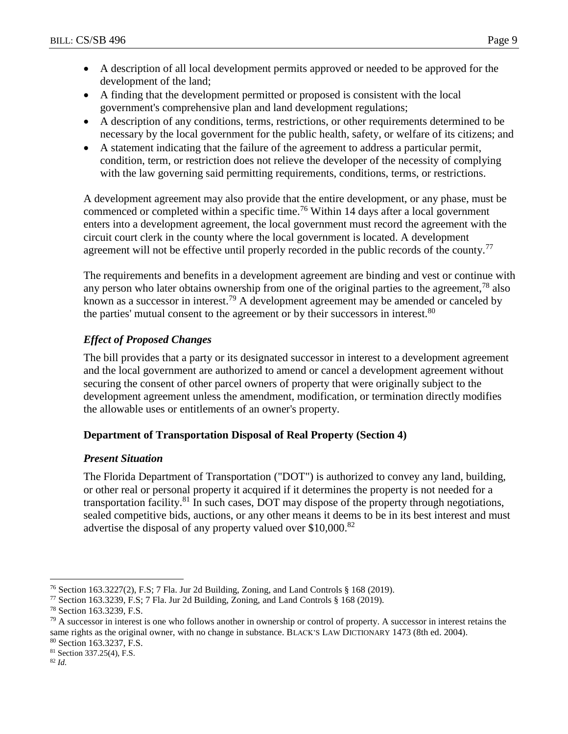- A description of all local development permits approved or needed to be approved for the development of the land;
- A finding that the development permitted or proposed is consistent with the local government's comprehensive plan and land development regulations;
- A description of any conditions, terms, restrictions, or other requirements determined to be necessary by the local government for the public health, safety, or welfare of its citizens; and
- A statement indicating that the failure of the agreement to address a particular permit, condition, term, or restriction does not relieve the developer of the necessity of complying with the law governing said permitting requirements, conditions, terms, or restrictions.

A development agreement may also provide that the entire development, or any phase, must be commenced or completed within a specific time.<sup>76</sup> Within 14 days after a local government enters into a development agreement, the local government must record the agreement with the circuit court clerk in the county where the local government is located. A development agreement will not be effective until properly recorded in the public records of the county.<sup>77</sup>

The requirements and benefits in a development agreement are binding and vest or continue with any person who later obtains ownership from one of the original parties to the agreement,<sup>78</sup> also known as a successor in interest.<sup>79</sup> A development agreement may be amended or canceled by the parties' mutual consent to the agreement or by their successors in interest.<sup>80</sup>

# *Effect of Proposed Changes*

The bill provides that a party or its designated successor in interest to a development agreement and the local government are authorized to amend or cancel a development agreement without securing the consent of other parcel owners of property that were originally subject to the development agreement unless the amendment, modification, or termination directly modifies the allowable uses or entitlements of an owner's property.

# **Department of Transportation Disposal of Real Property (Section 4)**

# *Present Situation*

The Florida Department of Transportation ("DOT") is authorized to convey any land, building, or other real or personal property it acquired if it determines the property is not needed for a transportation facility.<sup>81</sup> In such cases, DOT may dispose of the property through negotiations, sealed competitive bids, auctions, or any other means it deems to be in its best interest and must advertise the disposal of any property valued over \$10,000.<sup>82</sup>

<sup>76</sup> Section 163.3227(2), F.S; 7 Fla. Jur 2d Building, Zoning, and Land Controls § 168 (2019).

<sup>77</sup> Section 163.3239, F.S; 7 Fla. Jur 2d Building, Zoning, and Land Controls § 168 (2019).

<sup>78</sup> Section 163.3239, F.S.

<sup>&</sup>lt;sup>79</sup> A successor in interest is one who follows another in ownership or control of property. A successor in interest retains the same rights as the original owner, with no change in substance. BLACK'S LAW DICTIONARY 1473 (8th ed. 2004). <sup>80</sup> Section 163.3237, F.S.

<sup>81</sup> Section 337.25(4), F.S.

<sup>82</sup> *Id.*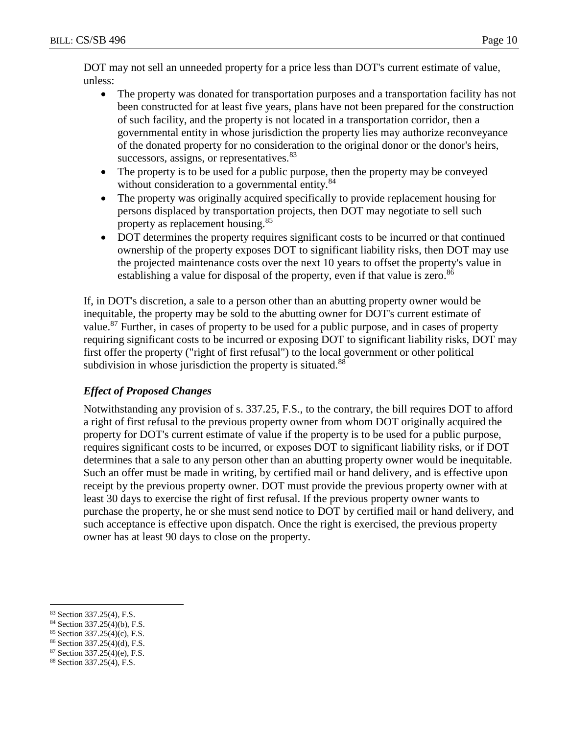DOT may not sell an unneeded property for a price less than DOT's current estimate of value, unless:

- The property was donated for transportation purposes and a transportation facility has not been constructed for at least five years, plans have not been prepared for the construction of such facility, and the property is not located in a transportation corridor, then a governmental entity in whose jurisdiction the property lies may authorize reconveyance of the donated property for no consideration to the original donor or the donor's heirs, successors, assigns, or representatives.<sup>83</sup>
- The property is to be used for a public purpose, then the property may be conveyed without consideration to a governmental entity.<sup>84</sup>
- The property was originally acquired specifically to provide replacement housing for persons displaced by transportation projects, then DOT may negotiate to sell such property as replacement housing.<sup>85</sup>
- DOT determines the property requires significant costs to be incurred or that continued ownership of the property exposes DOT to significant liability risks, then DOT may use the projected maintenance costs over the next 10 years to offset the property's value in establishing a value for disposal of the property, even if that value is zero.<sup>86</sup>

If, in DOT's discretion, a sale to a person other than an abutting property owner would be inequitable, the property may be sold to the abutting owner for DOT's current estimate of value.<sup>87</sup> Further, in cases of property to be used for a public purpose, and in cases of property requiring significant costs to be incurred or exposing DOT to significant liability risks, DOT may first offer the property ("right of first refusal") to the local government or other political subdivision in whose jurisdiction the property is situated.<sup>88</sup>

# *Effect of Proposed Changes*

Notwithstanding any provision of s. 337.25, F.S., to the contrary, the bill requires DOT to afford a right of first refusal to the previous property owner from whom DOT originally acquired the property for DOT's current estimate of value if the property is to be used for a public purpose, requires significant costs to be incurred, or exposes DOT to significant liability risks, or if DOT determines that a sale to any person other than an abutting property owner would be inequitable. Such an offer must be made in writing, by certified mail or hand delivery, and is effective upon receipt by the previous property owner. DOT must provide the previous property owner with at least 30 days to exercise the right of first refusal. If the previous property owner wants to purchase the property, he or she must send notice to DOT by certified mail or hand delivery, and such acceptance is effective upon dispatch. Once the right is exercised, the previous property owner has at least 90 days to close on the property.

<sup>85</sup> Section 337.25(4)(c), F.S.

<sup>87</sup> Section 337.25(4)(e), F.S.

 $\overline{a}$ <sup>83</sup> Section 337.25(4), F.S.

<sup>84</sup> Section 337.25(4)(b), F.S.

<sup>86</sup> Section 337.25(4)(d), F.S.

<sup>88</sup> Section 337.25(4), F.S.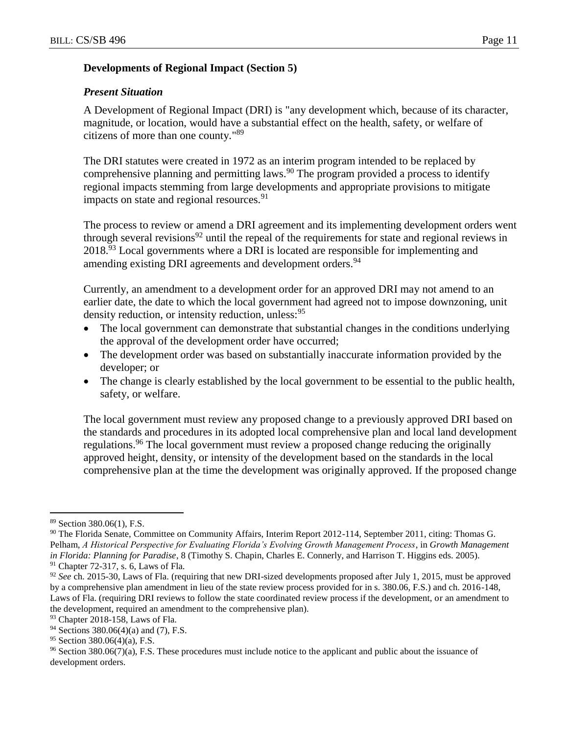### **Developments of Regional Impact (Section 5)**

### *Present Situation*

A Development of Regional Impact (DRI) is "any development which, because of its character, magnitude, or location, would have a substantial effect on the health, safety, or welfare of citizens of more than one county."<sup>89</sup>

The DRI statutes were created in 1972 as an interim program intended to be replaced by comprehensive planning and permitting laws.<sup>90</sup> The program provided a process to identify regional impacts stemming from large developments and appropriate provisions to mitigate impacts on state and regional resources.  $91$ 

The process to review or amend a DRI agreement and its implementing development orders went through several revisions<sup>92</sup> until the repeal of the requirements for state and regional reviews in 2018.<sup>93</sup> Local governments where a DRI is located are responsible for implementing and amending existing DRI agreements and development orders.<sup>94</sup>

Currently, an amendment to a development order for an approved DRI may not amend to an earlier date, the date to which the local government had agreed not to impose downzoning, unit density reduction, or intensity reduction, unless: <sup>95</sup>

- The local government can demonstrate that substantial changes in the conditions underlying the approval of the development order have occurred;
- The development order was based on substantially inaccurate information provided by the developer; or
- The change is clearly established by the local government to be essential to the public health, safety, or welfare.

The local government must review any proposed change to a previously approved DRI based on the standards and procedures in its adopted local comprehensive plan and local land development regulations.<sup>96</sup> The local government must review a proposed change reducing the originally approved height, density, or intensity of the development based on the standards in the local comprehensive plan at the time the development was originally approved. If the proposed change

<sup>89</sup> Section 380.06(1), F.S.

<sup>90</sup> The Florida Senate, Committee on Community Affairs, Interim Report 2012-114, September 2011, citing: Thomas G. Pelham, *A Historical Perspective for Evaluating Florida's Evolving Growth Management Process*, in *Growth Management in Florida: Planning for Paradise*, 8 (Timothy S. Chapin, Charles E. Connerly, and Harrison T. Higgins eds. 2005). <sup>91</sup> Chapter 72-317, s. 6, Laws of Fla.

<sup>92</sup> *See* ch. 2015-30, Laws of Fla. (requiring that new DRI-sized developments proposed after July 1, 2015, must be approved by a comprehensive plan amendment in lieu of the state review process provided for in s. 380.06, F.S.) and ch. 2016-148, Laws of Fla. (requiring DRI reviews to follow the state coordinated review process if the development, or an amendment to the development, required an amendment to the comprehensive plan).

<sup>93</sup> Chapter 2018-158, Laws of Fla.

<sup>94</sup> Sections 380.06(4)(a) and (7), F.S.

<sup>95</sup> Section 380.06(4)(a), F.S.

<sup>96</sup> Section 380.06(7)(a), F.S. These procedures must include notice to the applicant and public about the issuance of development orders.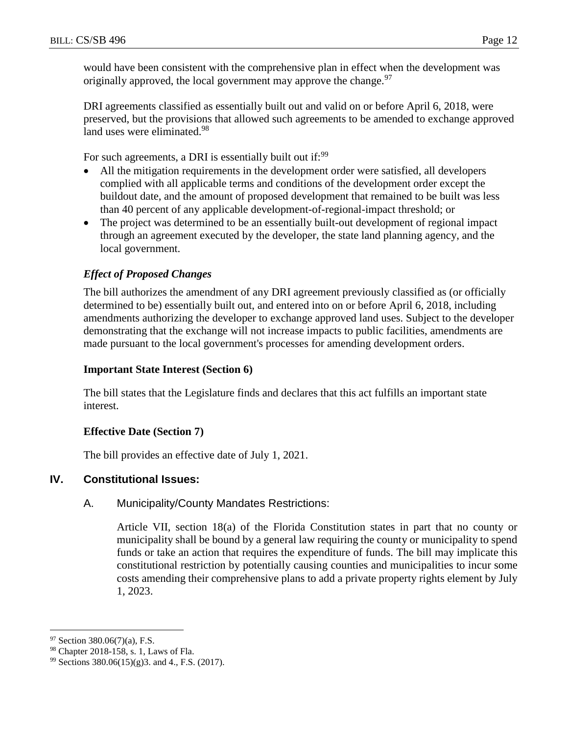would have been consistent with the comprehensive plan in effect when the development was originally approved, the local government may approve the change.<sup>97</sup>

DRI agreements classified as essentially built out and valid on or before April 6, 2018, were preserved, but the provisions that allowed such agreements to be amended to exchange approved land uses were eliminated.<sup>98</sup>

For such agreements, a DRI is essentially built out if:<sup>99</sup>

- All the mitigation requirements in the development order were satisfied, all developers complied with all applicable terms and conditions of the development order except the buildout date, and the amount of proposed development that remained to be built was less than 40 percent of any applicable development-of-regional-impact threshold; or
- The project was determined to be an essentially built-out development of regional impact through an agreement executed by the developer, the state land planning agency, and the local government.

## *Effect of Proposed Changes*

The bill authorizes the amendment of any DRI agreement previously classified as (or officially determined to be) essentially built out, and entered into on or before April 6, 2018, including amendments authorizing the developer to exchange approved land uses. Subject to the developer demonstrating that the exchange will not increase impacts to public facilities, amendments are made pursuant to the local government's processes for amending development orders.

### **Important State Interest (Section 6)**

The bill states that the Legislature finds and declares that this act fulfills an important state interest.

### **Effective Date (Section 7)**

The bill provides an effective date of July 1, 2021.

### **IV. Constitutional Issues:**

### A. Municipality/County Mandates Restrictions:

Article VII, section 18(a) of the Florida Constitution states in part that no county or municipality shall be bound by a general law requiring the county or municipality to spend funds or take an action that requires the expenditure of funds. The bill may implicate this constitutional restriction by potentially causing counties and municipalities to incur some costs amending their comprehensive plans to add a private property rights element by July 1, 2023.

 $97$  Section 380.06(7)(a), F.S.

<sup>98</sup> Chapter 2018-158, s. 1, Laws of Fla.

<sup>99</sup> Sections 380.06(15)(g)3. and 4., F.S. (2017).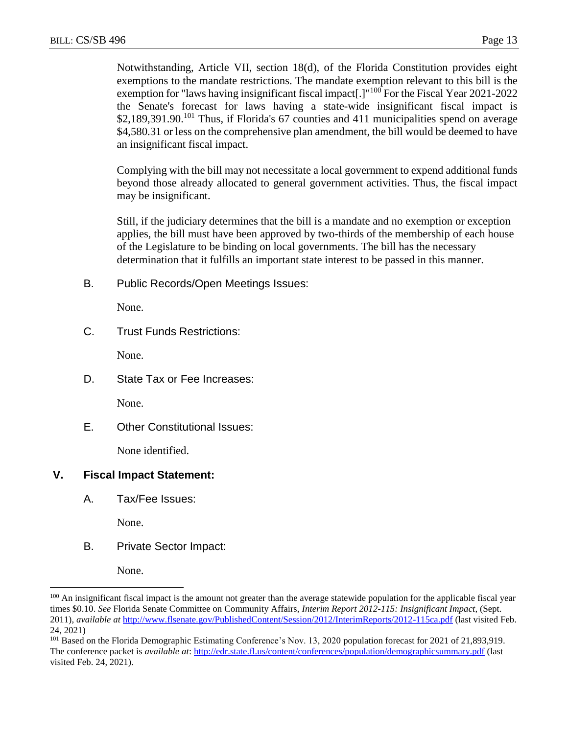Notwithstanding, Article VII, section 18(d), of the Florida Constitution provides eight exemptions to the mandate restrictions. The mandate exemption relevant to this bill is the exemption for "laws having insignificant fiscal impact<sup>[1]</sup> <sup>100</sup> For the Fiscal Year 2021-2022 the Senate's forecast for laws having a state-wide insignificant fiscal impact is \$2,189,391.90.<sup>101</sup> Thus, if Florida's 67 counties and 411 municipalities spend on average \$4,580.31 or less on the comprehensive plan amendment, the bill would be deemed to have an insignificant fiscal impact.

Complying with the bill may not necessitate a local government to expend additional funds beyond those already allocated to general government activities. Thus, the fiscal impact may be insignificant.

Still, if the judiciary determines that the bill is a mandate and no exemption or exception applies, the bill must have been approved by two-thirds of the membership of each house of the Legislature to be binding on local governments. The bill has the necessary determination that it fulfills an important state interest to be passed in this manner.

B. Public Records/Open Meetings Issues:

None.

C. Trust Funds Restrictions:

None.

D. State Tax or Fee Increases:

None.

E. Other Constitutional Issues:

None identified.

## **V. Fiscal Impact Statement:**

A. Tax/Fee Issues:

None.

B. Private Sector Impact:

None.

<sup>&</sup>lt;sup>100</sup> An insignificant fiscal impact is the amount not greater than the average statewide population for the applicable fiscal year times \$0.10. *See* Florida Senate Committee on Community Affairs, *Interim Report 2012-115: Insignificant Impact*, (Sept. 2011), *available at* <http://www.flsenate.gov/PublishedContent/Session/2012/InterimReports/2012-115ca.pdf> (last visited Feb. 24, 2021)

<sup>101</sup> Based on the Florida Demographic Estimating Conference's Nov. 13, 2020 population forecast for 2021 of 21,893,919. The conference packet is *available at*: <http://edr.state.fl.us/content/conferences/population/demographicsummary.pdf> (last visited Feb. 24, 2021).